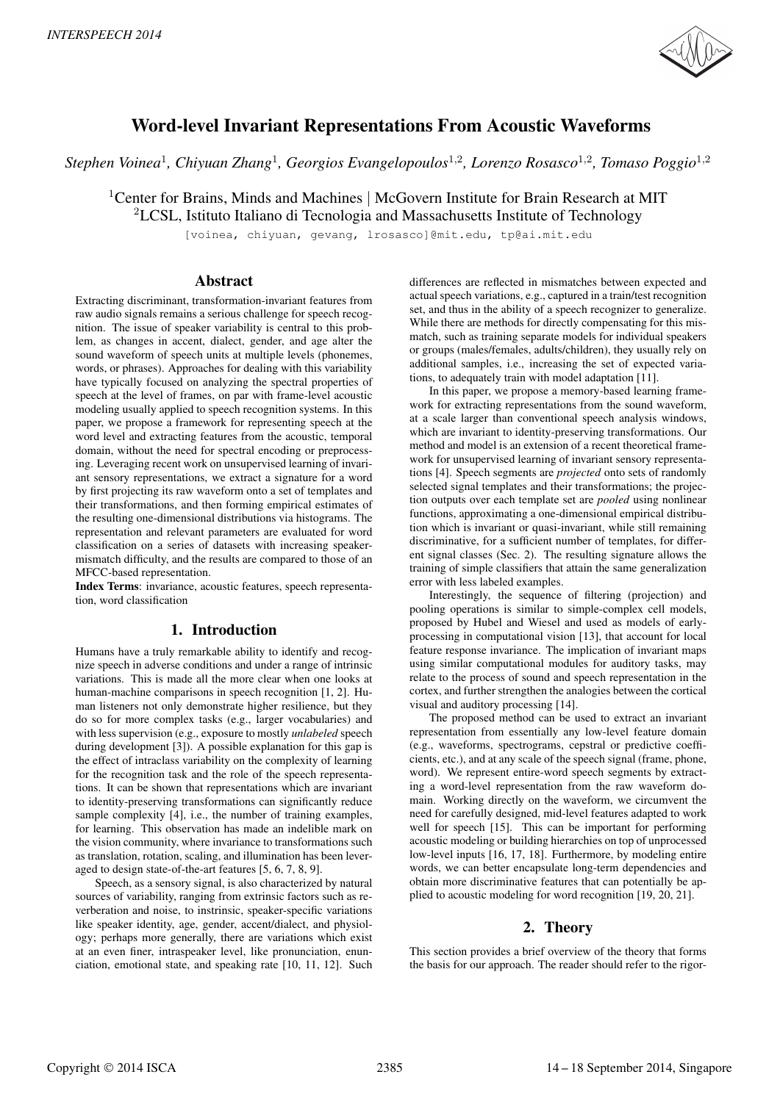

# Word-level Invariant Representations From Acoustic Waveforms

*Stephen Voinea*<sup>1</sup> *, Chiyuan Zhang*<sup>1</sup> *, Georgios Evangelopoulos*<sup>1</sup>,<sup>2</sup> *, Lorenzo Rosasco*<sup>1</sup>,<sup>2</sup> *, Tomaso Poggio*<sup>1</sup>,<sup>2</sup>

<sup>1</sup>Center for Brains, Minds and Machines | McGovern Institute for Brain Research at MIT <sup>2</sup>LCSL, Istituto Italiano di Tecnologia and Massachusetts Institute of Technology

[voinea, chiyuan, gevang, lrosasco]@mit.edu, tp@ai.mit.edu

# Abstract

Extracting discriminant, transformation-invariant features from raw audio signals remains a serious challenge for speech recognition. The issue of speaker variability is central to this problem, as changes in accent, dialect, gender, and age alter the sound waveform of speech units at multiple levels (phonemes, words, or phrases). Approaches for dealing with this variability have typically focused on analyzing the spectral properties of speech at the level of frames, on par with frame-level acoustic modeling usually applied to speech recognition systems. In this paper, we propose a framework for representing speech at the word level and extracting features from the acoustic, temporal domain, without the need for spectral encoding or preprocessing. Leveraging recent work on unsupervised learning of invariant sensory representations, we extract a signature for a word by first projecting its raw waveform onto a set of templates and their transformations, and then forming empirical estimates of the resulting one-dimensional distributions via histograms. The representation and relevant parameters are evaluated for word classification on a series of datasets with increasing speakermismatch difficulty, and the results are compared to those of an MFCC-based representation.

Index Terms: invariance, acoustic features, speech representation, word classification

# 1. Introduction

Humans have a truly remarkable ability to identify and recognize speech in adverse conditions and under a range of intrinsic variations. This is made all the more clear when one looks at human-machine comparisons in speech recognition [1, 2]. Human listeners not only demonstrate higher resilience, but they do so for more complex tasks (e.g., larger vocabularies) and with less supervision (e.g., exposure to mostly *unlabeled* speech during development [3]). A possible explanation for this gap is the effect of intraclass variability on the complexity of learning for the recognition task and the role of the speech representations. It can be shown that representations which are invariant to identity-preserving transformations can significantly reduce sample complexity [4], i.e., the number of training examples, for learning. This observation has made an indelible mark on the vision community, where invariance to transformations such as translation, rotation, scaling, and illumination has been leveraged to design state-of-the-art features [5, 6, 7, 8, 9].

Speech, as a sensory signal, is also characterized by natural sources of variability, ranging from extrinsic factors such as reverberation and noise, to instrinsic, speaker-specific variations like speaker identity, age, gender, accent/dialect, and physiology; perhaps more generally, there are variations which exist at an even finer, intraspeaker level, like pronunciation, enunciation, emotional state, and speaking rate [10, 11, 12]. Such differences are reflected in mismatches between expected and actual speech variations, e.g., captured in a train/test recognition set, and thus in the ability of a speech recognizer to generalize. While there are methods for directly compensating for this mismatch, such as training separate models for individual speakers or groups (males/females, adults/children), they usually rely on additional samples, i.e., increasing the set of expected variations, to adequately train with model adaptation [11].

In this paper, we propose a memory-based learning framework for extracting representations from the sound waveform, at a scale larger than conventional speech analysis windows, which are invariant to identity-preserving transformations. Our method and model is an extension of a recent theoretical framework for unsupervised learning of invariant sensory representations [4]. Speech segments are *projected* onto sets of randomly selected signal templates and their transformations; the projection outputs over each template set are *pooled* using nonlinear functions, approximating a one-dimensional empirical distribution which is invariant or quasi-invariant, while still remaining discriminative, for a sufficient number of templates, for different signal classes (Sec. 2). The resulting signature allows the training of simple classifiers that attain the same generalization error with less labeled examples.

Interestingly, the sequence of filtering (projection) and pooling operations is similar to simple-complex cell models, proposed by Hubel and Wiesel and used as models of earlyprocessing in computational vision [13], that account for local feature response invariance. The implication of invariant maps using similar computational modules for auditory tasks, may relate to the process of sound and speech representation in the cortex, and further strengthen the analogies between the cortical visual and auditory processing [14].

The proposed method can be used to extract an invariant representation from essentially any low-level feature domain (e.g., waveforms, spectrograms, cepstral or predictive coefficients, etc.), and at any scale of the speech signal (frame, phone, word). We represent entire-word speech segments by extracting a word-level representation from the raw waveform domain. Working directly on the waveform, we circumvent the need for carefully designed, mid-level features adapted to work well for speech [15]. This can be important for performing acoustic modeling or building hierarchies on top of unprocessed low-level inputs [16, 17, 18]. Furthermore, by modeling entire words, we can better encapsulate long-term dependencies and obtain more discriminative features that can potentially be applied to acoustic modeling for word recognition [19, 20, 21].

# 2. Theory

This section provides a brief overview of the theory that forms the basis for our approach. The reader should refer to the rigor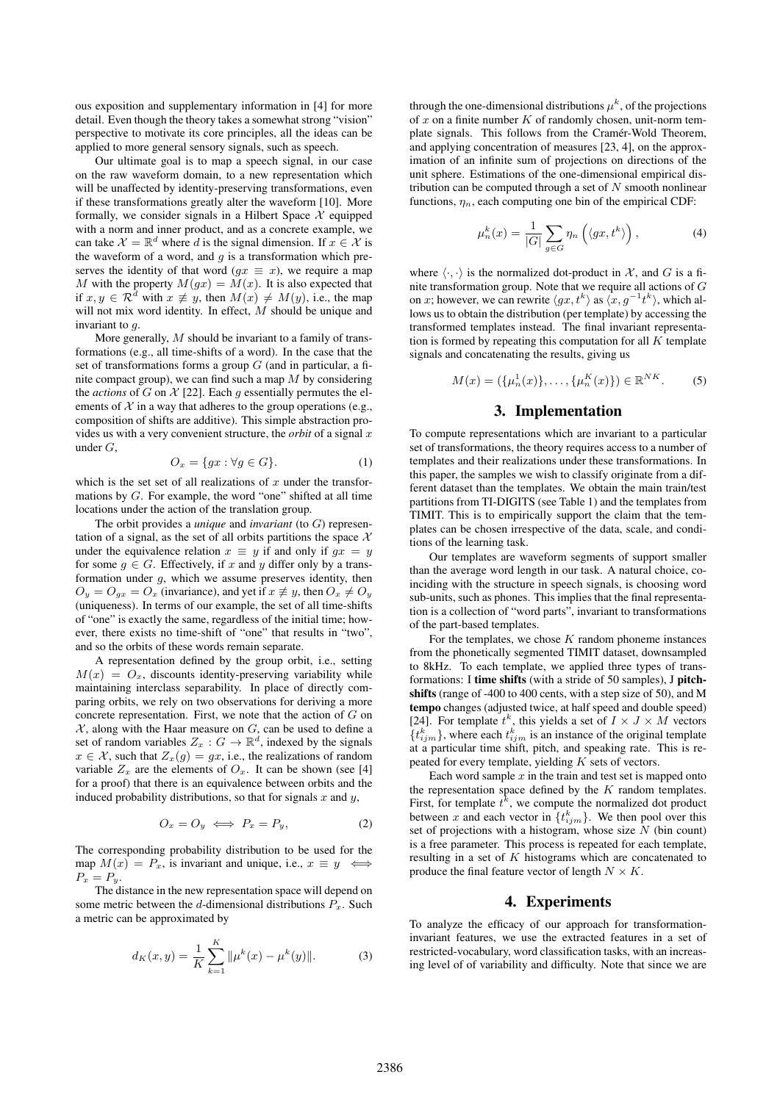ous exposition and supplementary information in [4] for more detail. Even though the theory takes a somewhat strong "vision" perspective to motivate its core principles, all the ideas can be applied to more general sensory signals, such as speech.

Our ultimate goal is to map a speech signal, in our case on the raw waveform domain, to a new representation which will be unaffected by identity-preserving transformations, even if these transformations greatly alter the waveform [10]. More formally, we consider signals in a Hilbert Space  $X$  equipped with a norm and inner product, and as a concrete example, we can take  $\mathcal{X} = \mathbb{R}^d$  where d is the signal dimension. If  $x \in \mathcal{X}$  is the waveform of a word, and  $q$  is a transformation which preserves the identity of that word ( $gx \equiv x$ ), we require a map M with the property  $M(gx) = M(x)$ . It is also expected that if  $x, y \in \mathbb{R}^d$  with  $x \not\equiv y$ , then  $M(x) \not\equiv M(y)$ , i.e., the map will not mix word identity. In effect, M should be unique and invariant to g.

More generally, M should be invariant to a family of transformations (e.g., all time-shifts of a word). In the case that the set of transformations forms a group  $G$  (and in particular, a finite compact group), we can find such a map  $\overline{M}$  by considering the *actions* of G on  $\mathcal{X}$  [22]. Each g essentially permutes the elements of  $X$  in a way that adheres to the group operations (e.g., composition of shifts are additive). This simple abstraction provides us with a very convenient structure, the *orbit* of a signal x under G,

$$
O_x = \{gx : \forall g \in G\}.\tag{1}
$$

which is the set set of all realizations of x under the transformations by  $G$ . For example, the word "one" shifted at all time locations under the action of the translation group.

The orbit provides a *unique* and *invariant* (to G) representation of a signal, as the set of all orbits partitions the space  $X$ under the equivalence relation  $x \equiv y$  if and only if  $qx = y$ for some  $g \in G$ . Effectively, if x and y differ only by a transformation under  $g$ , which we assume preserves identity, then  $O_y = O_{gx} = O_x$  (invariance), and yet if  $x \not\equiv y$ , then  $O_x \not\equiv O_y$ (uniqueness). In terms of our example, the set of all time-shifts of "one" is exactly the same, regardless of the initial time; however, there exists no time-shift of "one" that results in "two", and so the orbits of these words remain separate.

A representation defined by the group orbit, i.e., setting  $M(x) = O_x$ , discounts identity-preserving variability while maintaining interclass separability. In place of directly comparing orbits, we rely on two observations for deriving a more concrete representation. First, we note that the action of  $G$  on  $X$ , along with the Haar measure on  $G$ , can be used to define a set of random variables  $Z_x : G \to \mathbb{R}^d$ , indexed by the signals  $x \in \mathcal{X}$ , such that  $Z_x(g) = gx$ , i.e., the realizations of random variable  $Z_x$  are the elements of  $O_x$ . It can be shown (see [4] for a proof) that there is an equivalence between orbits and the induced probability distributions, so that for signals x and  $y$ ,

$$
O_x = O_y \iff P_x = P_y,\tag{2}
$$

The corresponding probability distribution to be used for the map  $M(x) = P_x$ , is invariant and unique, i.e.,  $x \equiv y \iff$  $P_x = P_y.$ 

The distance in the new representation space will depend on some metric between the d-dimensional distributions  $P_x$ . Such a metric can be approximated by

$$
d_K(x,y) = \frac{1}{K} \sum_{k=1}^{K} ||\mu^k(x) - \mu^k(y)||.
$$
 (3)

through the one-dimensional distributions  $\mu^k$ , of the projections of  $x$  on a finite number  $K$  of randomly chosen, unit-norm template signals. This follows from the Cramér-Wold Theorem, and applying concentration of measures [23, 4], on the approximation of an infinite sum of projections on directions of the unit sphere. Estimations of the one-dimensional empirical distribution can be computed through a set of  $N$  smooth nonlinear functions,  $\eta_n$ , each computing one bin of the empirical CDF:

$$
\mu_n^k(x) = \frac{1}{|G|} \sum_{g \in G} \eta_n \left( \langle gx, t^k \rangle \right), \tag{4}
$$

where  $\langle \cdot, \cdot \rangle$  is the normalized dot-product in  $\mathcal{X}$ , and G is a finite transformation group. Note that we require all actions of G on x; however, we can rewrite  $\langle gx, t^k \rangle$  as  $\langle x, g^{-1}t^k \rangle$ , which allows us to obtain the distribution (per template) by accessing the transformed templates instead. The final invariant representation is formed by repeating this computation for all  $K$  template signals and concatenating the results, giving us

$$
M(x) = (\{\mu_n^1(x)\}, \dots, \{\mu_n^K(x)\}) \in \mathbb{R}^{NK}.
$$
 (5)

### 3. Implementation

To compute representations which are invariant to a particular set of transformations, the theory requires access to a number of templates and their realizations under these transformations. In this paper, the samples we wish to classify originate from a different dataset than the templates. We obtain the main train/test partitions from TI-DIGITS (see Table 1) and the templates from TIMIT. This is to empirically support the claim that the templates can be chosen irrespective of the data, scale, and conditions of the learning task.

Our templates are waveform segments of support smaller than the average word length in our task. A natural choice, coinciding with the structure in speech signals, is choosing word sub-units, such as phones. This implies that the final representation is a collection of "word parts", invariant to transformations of the part-based templates.

For the templates, we chose  $K$  random phoneme instances from the phonetically segmented TIMIT dataset, downsampled to 8kHz. To each template, we applied three types of transformations: I time shifts (with a stride of 50 samples), J pitchshifts (range of -400 to 400 cents, with a step size of 50), and M tempo changes (adjusted twice, at half speed and double speed) [24]. For template  $t^k$ , this yields a set of  $I \times J \times M$  vectors  $\{t_{ijm}^k\}$ , where each  $t_{ijm}^k$  is an instance of the original template at a particular time shift, pitch, and speaking rate. This is repeated for every template, yielding  $K$  sets of vectors.

Each word sample  $x$  in the train and test set is mapped onto the representation space defined by the  $K$  random templates. First, for template  $t^k$ , we compute the normalized dot product between x and each vector in  $\{t_{ijm}^k\}$ . We then pool over this set of projections with a histogram, whose size  $N$  (bin count) is a free parameter. This process is repeated for each template, resulting in a set of K histograms which are concatenated to produce the final feature vector of length  $N \times K$ .

#### 4. Experiments

To analyze the efficacy of our approach for transformationinvariant features, we use the extracted features in a set of restricted-vocabulary, word classification tasks, with an increasing level of of variability and difficulty. Note that since we are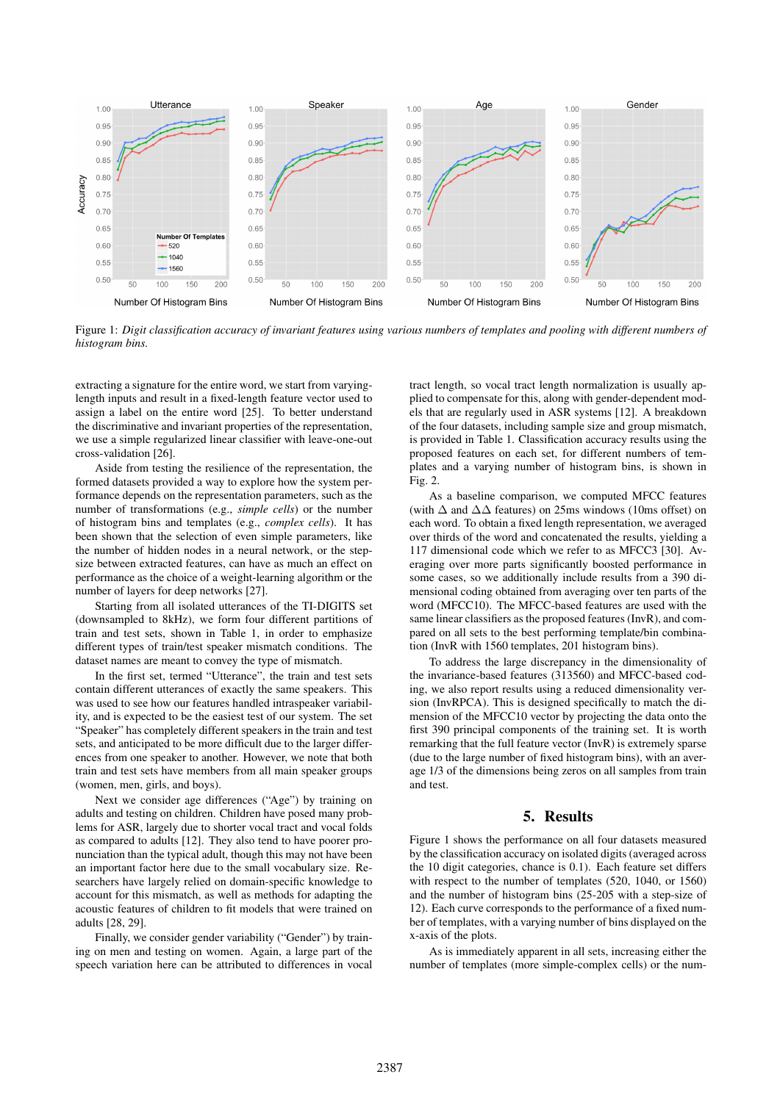

Figure 1: *Digit classification accuracy of invariant features using various numbers of templates and pooling with different numbers of histogram bins.*

extracting a signature for the entire word, we start from varyinglength inputs and result in a fixed-length feature vector used to assign a label on the entire word [25]. To better understand the discriminative and invariant properties of the representation, we use a simple regularized linear classifier with leave-one-out cross-validation [26].

Aside from testing the resilience of the representation, the formed datasets provided a way to explore how the system performance depends on the representation parameters, such as the number of transformations (e.g., *simple cells*) or the number of histogram bins and templates (e.g., *complex cells*). It has been shown that the selection of even simple parameters, like the number of hidden nodes in a neural network, or the stepsize between extracted features, can have as much an effect on performance as the choice of a weight-learning algorithm or the number of layers for deep networks [27].

Starting from all isolated utterances of the TI-DIGITS set (downsampled to 8kHz), we form four different partitions of train and test sets, shown in Table 1, in order to emphasize different types of train/test speaker mismatch conditions. The dataset names are meant to convey the type of mismatch.

In the first set, termed "Utterance", the train and test sets contain different utterances of exactly the same speakers. This was used to see how our features handled intraspeaker variability, and is expected to be the easiest test of our system. The set "Speaker" has completely different speakers in the train and test sets, and anticipated to be more difficult due to the larger differences from one speaker to another. However, we note that both train and test sets have members from all main speaker groups (women, men, girls, and boys).

Next we consider age differences ("Age") by training on adults and testing on children. Children have posed many problems for ASR, largely due to shorter vocal tract and vocal folds as compared to adults [12]. They also tend to have poorer pronunciation than the typical adult, though this may not have been an important factor here due to the small vocabulary size. Researchers have largely relied on domain-specific knowledge to account for this mismatch, as well as methods for adapting the acoustic features of children to fit models that were trained on adults [28, 29].

Finally, we consider gender variability ("Gender") by training on men and testing on women. Again, a large part of the speech variation here can be attributed to differences in vocal

tract length, so vocal tract length normalization is usually applied to compensate for this, along with gender-dependent models that are regularly used in ASR systems [12]. A breakdown of the four datasets, including sample size and group mismatch, is provided in Table 1. Classification accuracy results using the proposed features on each set, for different numbers of templates and a varying number of histogram bins, is shown in Fig. 2.

As a baseline comparison, we computed MFCC features (with  $\Delta$  and  $\Delta\Delta$  features) on 25ms windows (10ms offset) on each word. To obtain a fixed length representation, we averaged over thirds of the word and concatenated the results, yielding a 117 dimensional code which we refer to as MFCC3 [30]. Averaging over more parts significantly boosted performance in some cases, so we additionally include results from a 390 dimensional coding obtained from averaging over ten parts of the word (MFCC10). The MFCC-based features are used with the same linear classifiers as the proposed features (InvR), and compared on all sets to the best performing template/bin combination (InvR with 1560 templates, 201 histogram bins).

To address the large discrepancy in the dimensionality of the invariance-based features (313560) and MFCC-based coding, we also report results using a reduced dimensionality version (InvRPCA). This is designed specifically to match the dimension of the MFCC10 vector by projecting the data onto the first 390 principal components of the training set. It is worth remarking that the full feature vector (InvR) is extremely sparse (due to the large number of fixed histogram bins), with an average 1/3 of the dimensions being zeros on all samples from train and test.

# 5. Results

Figure 1 shows the performance on all four datasets measured by the classification accuracy on isolated digits (averaged across the 10 digit categories, chance is 0.1). Each feature set differs with respect to the number of templates (520, 1040, or 1560) and the number of histogram bins (25-205 with a step-size of 12). Each curve corresponds to the performance of a fixed number of templates, with a varying number of bins displayed on the x-axis of the plots.

As is immediately apparent in all sets, increasing either the number of templates (more simple-complex cells) or the num-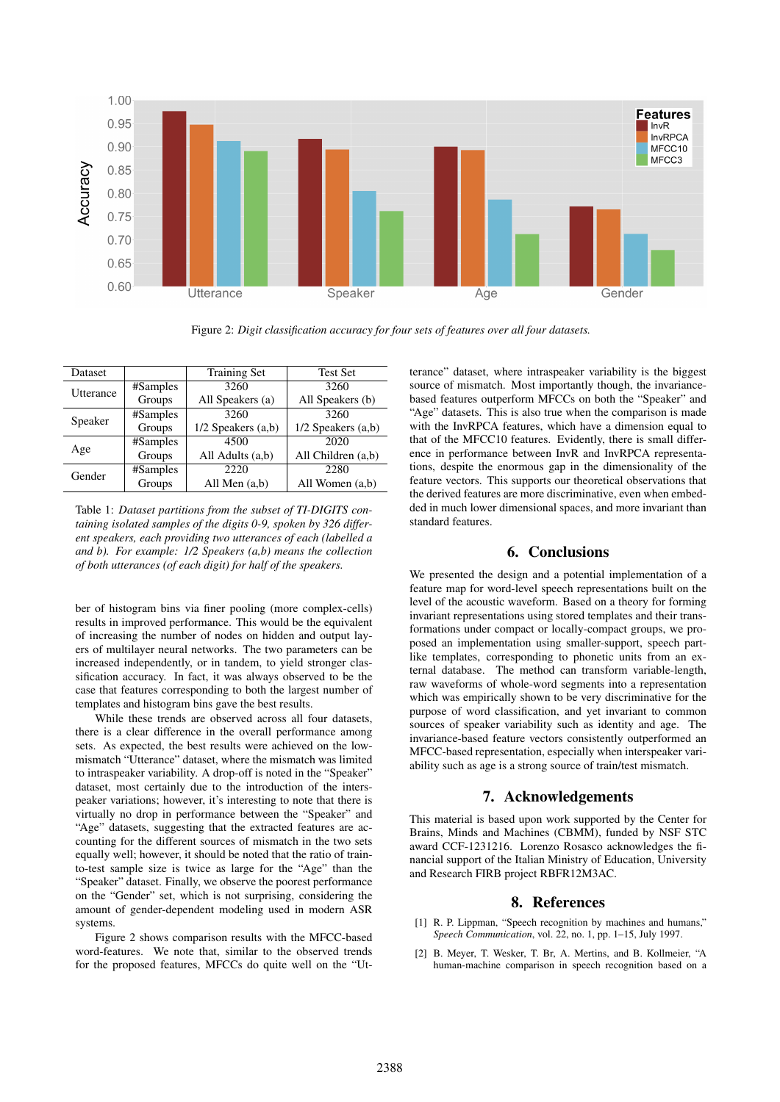

Figure 2: *Digit classification accuracy for four sets of features over all four datasets.*

| Dataset   |          | <b>Training Set</b>    | <b>Test Set</b>        |
|-----------|----------|------------------------|------------------------|
| Utterance | #Samples | 3260                   | 3260                   |
|           | Groups   | All Speakers (a)       | All Speakers (b)       |
| Speaker   | #Samples | 3260                   | 3260                   |
|           | Groups   | $1/2$ Speakers $(a,b)$ | $1/2$ Speakers $(a,b)$ |
| Age       | #Samples | 4500                   | 2020                   |
|           | Groups   | All Adults (a,b)       | All Children (a,b)     |
| Gender    | #Samples | 2220                   | 2280                   |
|           | Groups   | All Men $(a,b)$        | All Women (a,b)        |

Table 1: *Dataset partitions from the subset of TI-DIGITS containing isolated samples of the digits 0-9, spoken by 326 different speakers, each providing two utterances of each (labelled a and b). For example: 1/2 Speakers (a,b) means the collection of both utterances (of each digit) for half of the speakers.*

ber of histogram bins via finer pooling (more complex-cells) results in improved performance. This would be the equivalent of increasing the number of nodes on hidden and output layers of multilayer neural networks. The two parameters can be increased independently, or in tandem, to yield stronger classification accuracy. In fact, it was always observed to be the case that features corresponding to both the largest number of templates and histogram bins gave the best results.

While these trends are observed across all four datasets, there is a clear difference in the overall performance among sets. As expected, the best results were achieved on the lowmismatch "Utterance" dataset, where the mismatch was limited to intraspeaker variability. A drop-off is noted in the "Speaker" dataset, most certainly due to the introduction of the interspeaker variations; however, it's interesting to note that there is virtually no drop in performance between the "Speaker" and "Age" datasets, suggesting that the extracted features are accounting for the different sources of mismatch in the two sets equally well; however, it should be noted that the ratio of trainto-test sample size is twice as large for the "Age" than the "Speaker" dataset. Finally, we observe the poorest performance on the "Gender" set, which is not surprising, considering the amount of gender-dependent modeling used in modern ASR systems.

Figure 2 shows comparison results with the MFCC-based word-features. We note that, similar to the observed trends for the proposed features, MFCCs do quite well on the "Utterance" dataset, where intraspeaker variability is the biggest source of mismatch. Most importantly though, the invariancebased features outperform MFCCs on both the "Speaker" and "Age" datasets. This is also true when the comparison is made with the InvRPCA features, which have a dimension equal to that of the MFCC10 features. Evidently, there is small difference in performance between InvR and InvRPCA representations, despite the enormous gap in the dimensionality of the feature vectors. This supports our theoretical observations that the derived features are more discriminative, even when embedded in much lower dimensional spaces, and more invariant than standard features.

# 6. Conclusions

We presented the design and a potential implementation of a feature map for word-level speech representations built on the level of the acoustic waveform. Based on a theory for forming invariant representations using stored templates and their transformations under compact or locally-compact groups, we proposed an implementation using smaller-support, speech partlike templates, corresponding to phonetic units from an external database. The method can transform variable-length, raw waveforms of whole-word segments into a representation which was empirically shown to be very discriminative for the purpose of word classification, and yet invariant to common sources of speaker variability such as identity and age. The invariance-based feature vectors consistently outperformed an MFCC-based representation, especially when interspeaker variability such as age is a strong source of train/test mismatch.

# 7. Acknowledgements

This material is based upon work supported by the Center for Brains, Minds and Machines (CBMM), funded by NSF STC award CCF-1231216. Lorenzo Rosasco acknowledges the financial support of the Italian Ministry of Education, University and Research FIRB project RBFR12M3AC.

#### 8. References

- [1] R. P. Lippman, "Speech recognition by machines and humans," *Speech Communication*, vol. 22, no. 1, pp. 1–15, July 1997.
- [2] B. Meyer, T. Wesker, T. Br, A. Mertins, and B. Kollmeier, "A human-machine comparison in speech recognition based on a